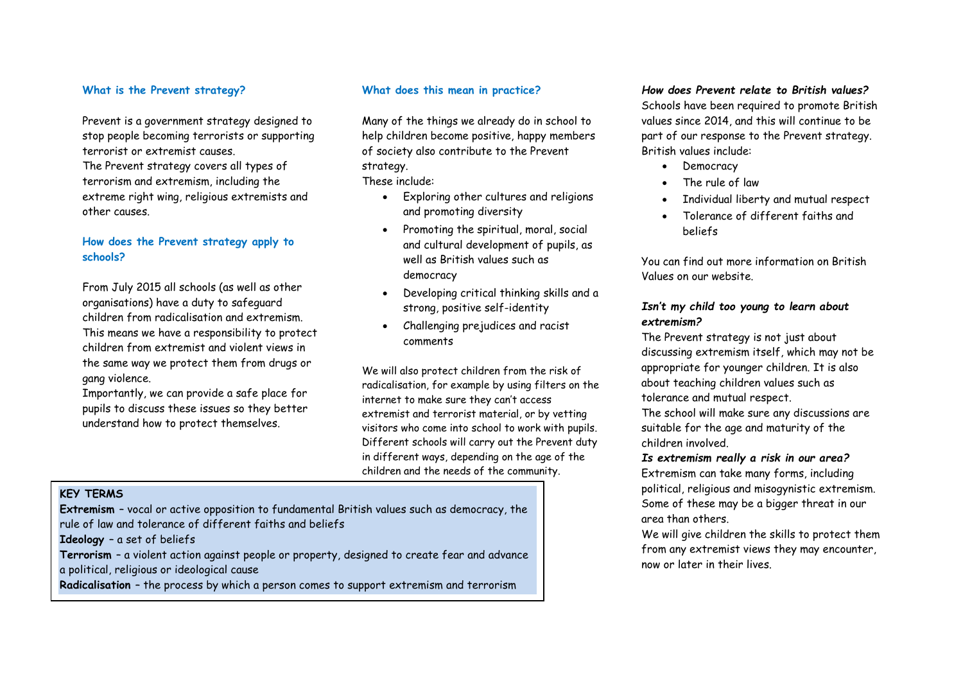### **What is the Prevent strategy?**

Prevent is a government strategy designed to stop people becoming terrorists or supporting terrorist or extremist causes.

The Prevent strategy covers all types of terrorism and extremism, including the extreme right wing, religious extremists and other causes.

# **How does the Prevent strategy apply to schools?**

From July 2015 all schools (as well as other organisations) have a duty to safeguard children from radicalisation and extremism. This means we have a responsibility to protect children from extremist and violent views in the same way we protect them from drugs or gang violence.

Importantly, we can provide a safe place for pupils to discuss these issues so they better understand how to protect themselves.

# **What does this mean in practice?**

Many of the things we already do in school to help children become positive, happy members of society also contribute to the Prevent strategy.

These include:

- Exploring other cultures and religions and promoting diversity
- Promoting the spiritual, moral, social and cultural development of pupils, as well as British values such as democracy
- Developing critical thinking skills and a strong, positive self-identity
- Challenging prejudices and racist comments

We will also protect children from the risk of radicalisation, for example by using filters on the internet to make sure they can't access extremist and terrorist material, or by vetting visitors who come into school to work with pupils. Different schools will carry out the Prevent duty in different ways, depending on the age of the children and the needs of the community.

# **KEY TERMS**

**Extremism** – vocal or active opposition to fundamental British values such as democracy, the rule of law and tolerance of different faiths and beliefs

**Ideology** – a set of beliefs

**Terrorism** – a violent action against people or property, designed to create fear and advance a political, religious or ideological cause

**Frequently Asked Questions Radicalisation** – the process by which a person comes to support extremism and terrorism

# *How does Prevent relate to British values?*

Schools have been required to promote British values since 2014, and this will continue to be part of our response to the Prevent strategy. British values include:

- Democracy
- The rule of law
- Individual liberty and mutual respect
- Tolerance of different faiths and beliefs

You can find out more information on British Values on our website.

# *Isn't my child too young to learn about extremism?*

The Prevent strategy is not just about discussing extremism itself, which may not be appropriate for younger children. It is also about teaching children values such as tolerance and mutual respect.

The school will make sure any discussions are suitable for the age and maturity of the children involved.

*Is extremism really a risk in our area?* Extremism can take many forms, including political, religious and misogynistic extremism. Some of these may be a bigger threat in our area than others.

We will give children the skills to protect them from any extremist views they may encounter, now or later in their lives.